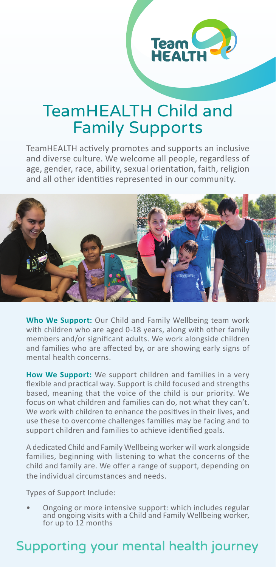

## TeamHEALTH Child and Family Supports

TeamHEALTH actively promotes and supports an inclusive and diverse culture. We welcome all people, regardless of age, gender, race, ability, sexual orientation, faith, religion and all other identities represented in our community.



**Who We Support:** Our Child and Family Wellbeing team work with children who are aged 0-18 years, along with other family members and/or significant adults. We work alongside children and families who are affected by, or are showing early signs of mental health concerns.

**How We Support:** We support children and families in a very flexible and practical way. Support is child focused and strengths based, meaning that the voice of the child is our priority. We focus on what children and families can do, not what they can't. We work with children to enhance the positives in their lives, and use these to overcome challenges families may be facing and to support children and families to achieve identified goals.

A dedicated Child and Family Wellbeing worker will work alongside families, beginning with listening to what the concerns of the child and family are. We offer a range of support, depending on the individual circumstances and needs.

Types of Support Include:

• Ongoing or more intensive support: which includes regular and ongoing visits with a Child and Family Wellbeing worker, for up to 12 months

## Supporting your mental health journey